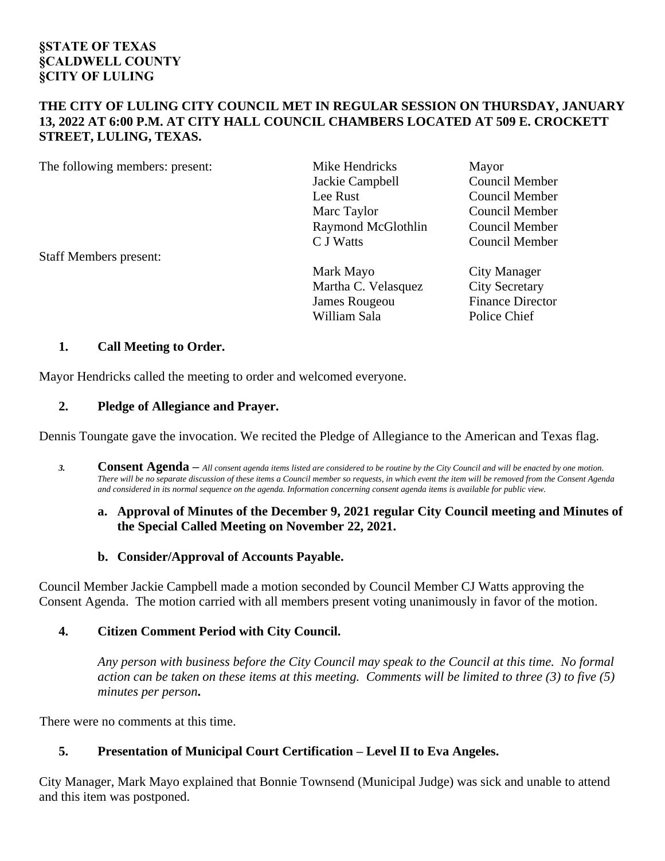### **§STATE OF TEXAS §CALDWELL COUNTY §CITY OF LULING**

#### **THE CITY OF LULING CITY COUNCIL MET IN REGULAR SESSION ON THURSDAY, JANUARY 13, 2022 AT 6:00 P.M. AT CITY HALL COUNCIL CHAMBERS LOCATED AT 509 E. CROCKETT STREET, LULING, TEXAS.**

The following members: present: Mike Hendricks Mayor

Jackie Campbell Council Member Lee Rust Council Member Marc Taylor Council Member Raymond McGlothlin Council Member<br>C J Watts Council Member

Council Member

Mark Mayo City Manager Martha C. Velasquez City Secretary James Rougeou Finance Director William Sala Police Chief

# Staff Members present:

### **1. Call Meeting to Order.**

Mayor Hendricks called the meeting to order and welcomed everyone.

### **2. Pledge of Allegiance and Prayer.**

Dennis Toungate gave the invocation. We recited the Pledge of Allegiance to the American and Texas flag.

*3.* **Consent Agenda –** *All consent agenda items listed are considered to be routine by the City Council and will be enacted by one motion. There will be no separate discussion of these items a Council member so requests, in which event the item will be removed from the Consent Agenda and considered in its normal sequence on the agenda. Information concerning consent agenda items is available for public view.*

### **a. Approval of Minutes of the December 9, 2021 regular City Council meeting and Minutes of the Special Called Meeting on November 22, 2021.**

### **b. Consider/Approval of Accounts Payable.**

Council Member Jackie Campbell made a motion seconded by Council Member CJ Watts approving the Consent Agenda. The motion carried with all members present voting unanimously in favor of the motion.

### **4. Citizen Comment Period with City Council.**

*Any person with business before the City Council may speak to the Council at this time. No formal action can be taken on these items at this meeting. Comments will be limited to three (3) to five (5) minutes per person***.**

There were no comments at this time.

# **5. Presentation of Municipal Court Certification – Level II to Eva Angeles.**

City Manager, Mark Mayo explained that Bonnie Townsend (Municipal Judge) was sick and unable to attend and this item was postponed.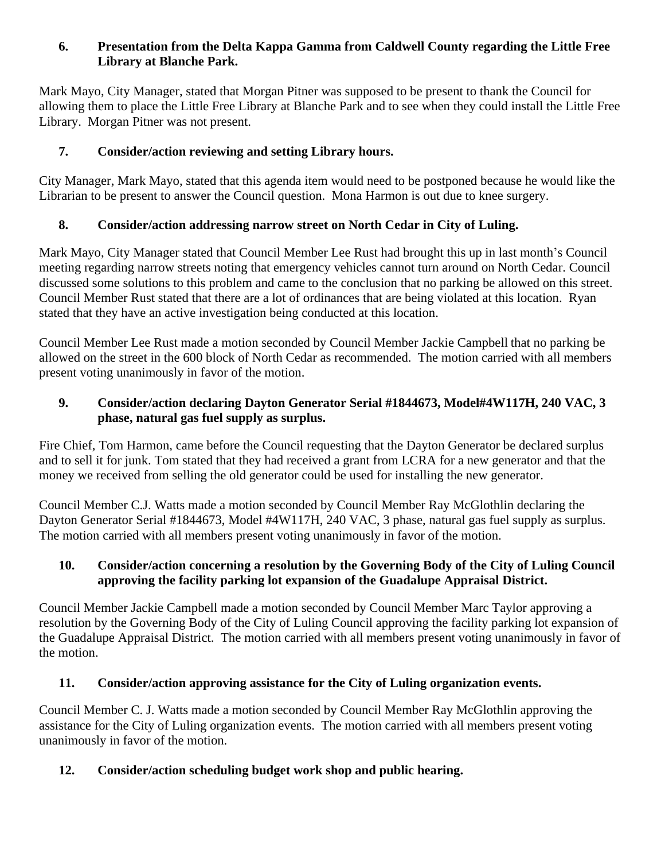## **6. Presentation from the Delta Kappa Gamma from Caldwell County regarding the Little Free Library at Blanche Park.**

Mark Mayo, City Manager, stated that Morgan Pitner was supposed to be present to thank the Council for allowing them to place the Little Free Library at Blanche Park and to see when they could install the Little Free Library. Morgan Pitner was not present.

# **7. Consider/action reviewing and setting Library hours.**

City Manager, Mark Mayo, stated that this agenda item would need to be postponed because he would like the Librarian to be present to answer the Council question. Mona Harmon is out due to knee surgery.

### **8. Consider/action addressing narrow street on North Cedar in City of Luling.**

Mark Mayo, City Manager stated that Council Member Lee Rust had brought this up in last month's Council meeting regarding narrow streets noting that emergency vehicles cannot turn around on North Cedar. Council discussed some solutions to this problem and came to the conclusion that no parking be allowed on this street. Council Member Rust stated that there are a lot of ordinances that are being violated at this location. Ryan stated that they have an active investigation being conducted at this location.

Council Member Lee Rust made a motion seconded by Council Member Jackie Campbell that no parking be allowed on the street in the 600 block of North Cedar as recommended. The motion carried with all members present voting unanimously in favor of the motion.

## **9. Consider/action declaring Dayton Generator Serial #1844673, Model#4W117H, 240 VAC, 3 phase, natural gas fuel supply as surplus.**

Fire Chief, Tom Harmon, came before the Council requesting that the Dayton Generator be declared surplus and to sell it for junk. Tom stated that they had received a grant from LCRA for a new generator and that the money we received from selling the old generator could be used for installing the new generator.

Council Member C.J. Watts made a motion seconded by Council Member Ray McGlothlin declaring the Dayton Generator Serial #1844673, Model #4W117H, 240 VAC, 3 phase, natural gas fuel supply as surplus. The motion carried with all members present voting unanimously in favor of the motion.

### **10. Consider/action concerning a resolution by the Governing Body of the City of Luling Council approving the facility parking lot expansion of the Guadalupe Appraisal District.**

Council Member Jackie Campbell made a motion seconded by Council Member Marc Taylor approving a resolution by the Governing Body of the City of Luling Council approving the facility parking lot expansion of the Guadalupe Appraisal District. The motion carried with all members present voting unanimously in favor of the motion.

### **11. Consider/action approving assistance for the City of Luling organization events.**

Council Member C. J. Watts made a motion seconded by Council Member Ray McGlothlin approving the assistance for the City of Luling organization events. The motion carried with all members present voting unanimously in favor of the motion.

# **12. Consider/action scheduling budget work shop and public hearing.**